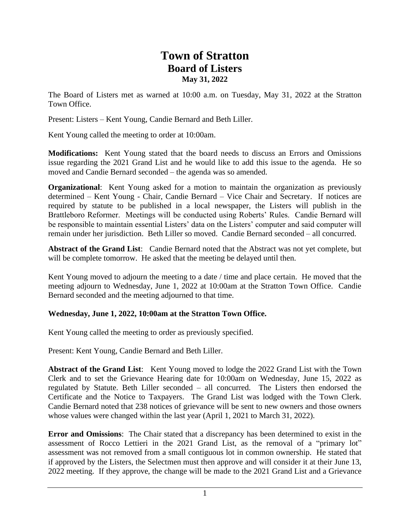## **Town of Stratton Board of Listers May 31, 2022**

The Board of Listers met as warned at 10:00 a.m. on Tuesday, May 31, 2022 at the Stratton Town Office.

Present: Listers – Kent Young, Candie Bernard and Beth Liller.

Kent Young called the meeting to order at 10:00am.

**Modifications:** Kent Young stated that the board needs to discuss an Errors and Omissions issue regarding the 2021 Grand List and he would like to add this issue to the agenda. He so moved and Candie Bernard seconded – the agenda was so amended.

**Organizational:** Kent Young asked for a motion to maintain the organization as previously determined – Kent Young - Chair, Candie Bernard – Vice Chair and Secretary. If notices are required by statute to be published in a local newspaper, the Listers will publish in the Brattleboro Reformer. Meetings will be conducted using Roberts' Rules. Candie Bernard will be responsible to maintain essential Listers' data on the Listers' computer and said computer will remain under her jurisdiction. Beth Liller so moved. Candie Bernard seconded – all concurred.

**Abstract of the Grand List**: Candie Bernard noted that the Abstract was not yet complete, but will be complete tomorrow. He asked that the meeting be delayed until then.

Kent Young moved to adjourn the meeting to a date / time and place certain. He moved that the meeting adjourn to Wednesday, June 1, 2022 at 10:00am at the Stratton Town Office. Candie Bernard seconded and the meeting adjourned to that time.

## **Wednesday, June 1, 2022, 10:00am at the Stratton Town Office.**

Kent Young called the meeting to order as previously specified.

Present: Kent Young, Candie Bernard and Beth Liller.

**Abstract of the Grand List**: Kent Young moved to lodge the 2022 Grand List with the Town Clerk and to set the Grievance Hearing date for 10:00am on Wednesday, June 15, 2022 as regulated by Statute. Beth Liller seconded – all concurred. The Listers then endorsed the Certificate and the Notice to Taxpayers. The Grand List was lodged with the Town Clerk. Candie Bernard noted that 238 notices of grievance will be sent to new owners and those owners whose values were changed within the last year (April 1, 2021 to March 31, 2022).

**Error and Omissions**: The Chair stated that a discrepancy has been determined to exist in the assessment of Rocco Lettieri in the 2021 Grand List, as the removal of a "primary lot" assessment was not removed from a small contiguous lot in common ownership. He stated that if approved by the Listers, the Selectmen must then approve and will consider it at their June 13, 2022 meeting. If they approve, the change will be made to the 2021 Grand List and a Grievance